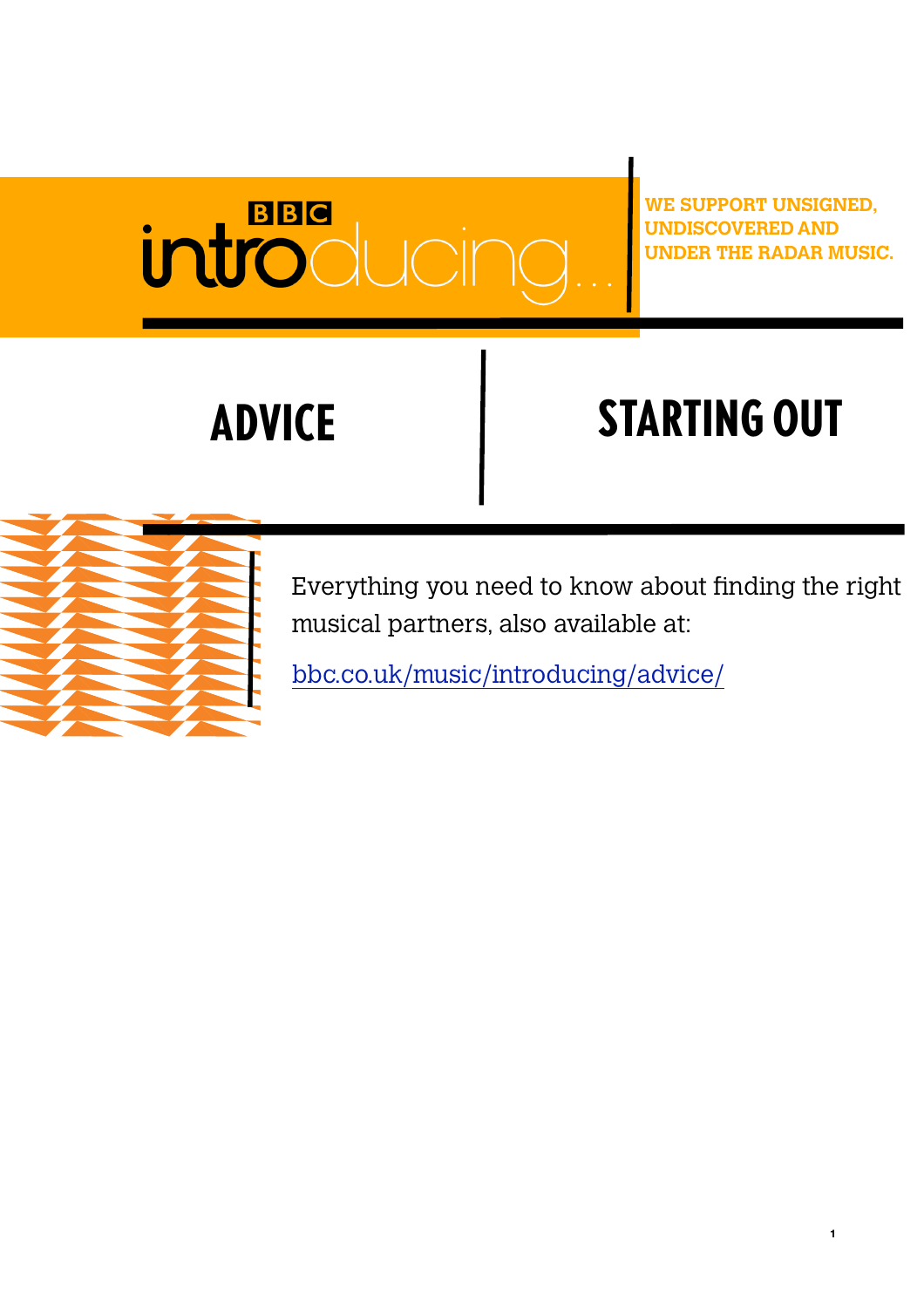### **BBC** introd  $\|$  in

**WE SUPPORT UNSIGNED, UNDISCOVERED AND THE RADAR MUSIC.** 

## **ADVICE STARTING OUT**



Everything you need to know about finding the right musical partners, also available at:

[bbc.co.uk/music/introducing/advice/](http://www.bbc.co.uk/music/introducing/advice/)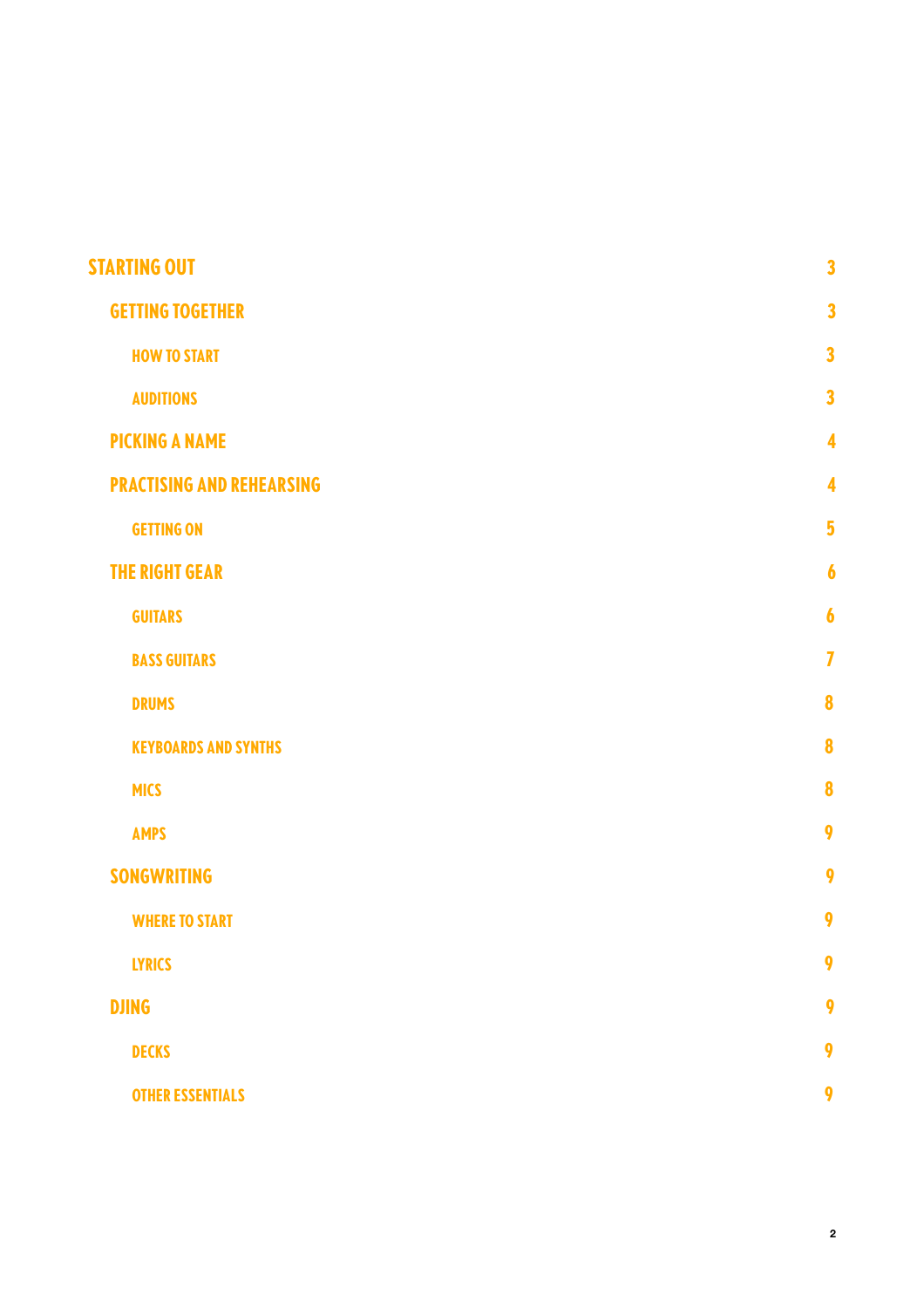| <b>STARTING OUT</b> |                                  | $\overline{\mathbf{3}}$ |
|---------------------|----------------------------------|-------------------------|
|                     | <b>GETTING TOGETHER</b>          | $\overline{\mathbf{3}}$ |
|                     | <b>HOW TO START</b>              | $\overline{\mathbf{3}}$ |
|                     | <b>AUDITIONS</b>                 | $\overline{\mathbf{3}}$ |
|                     | <b>PICKING A NAME</b>            | 4                       |
|                     | <b>PRACTISING AND REHEARSING</b> | 4                       |
|                     | <b>GETTING ON</b>                | 5                       |
|                     | <b>THE RIGHT GEAR</b>            | $\boldsymbol{6}$        |
|                     | <b>GUITARS</b>                   | $\boldsymbol{6}$        |
|                     | <b>BASS GUITARS</b>              | $\overline{1}$          |
|                     | <b>DRUMS</b>                     | $\boldsymbol{8}$        |
|                     | <b>KEYBOARDS AND SYNTHS</b>      | $\boldsymbol{8}$        |
|                     | <b>MICS</b>                      | $\boldsymbol{8}$        |
|                     | <b>AMPS</b>                      | 9                       |
|                     | <b>SONGWRITING</b>               | 9                       |
|                     | <b>WHERE TO START</b>            | 9                       |
|                     | <b>LYRICS</b>                    | 9                       |
|                     | <b>DJING</b>                     | 9                       |
|                     | <b>DECKS</b>                     | 9                       |
|                     | <b>OTHER ESSENTIALS</b>          | 9                       |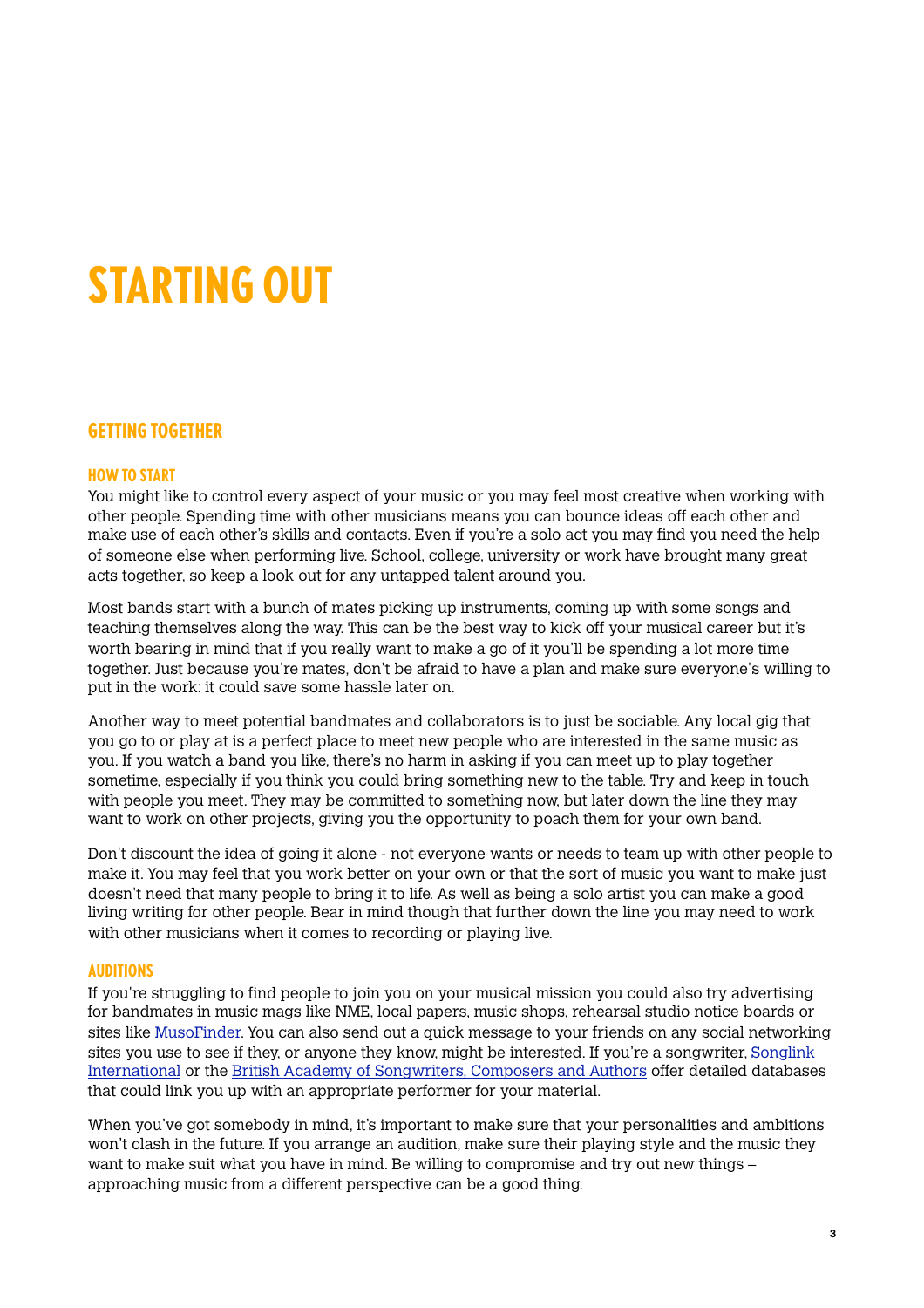# <span id="page-2-0"></span>**STARTING OUT**

#### <span id="page-2-1"></span>**GETTING TOGETHER**

#### <span id="page-2-2"></span>**HOW TO START**

You might like to control every aspect of your music or you may feel most creative when working with other people. Spending time with other musicians means you can bounce ideas off each other and make use of each other's skills and contacts. Even if you're a solo act you may find you need the help of someone else when performing live. School, college, university or work have brought many great acts together, so keep a look out for any untapped talent around you.

Most bands start with a bunch of mates picking up instruments, coming up with some songs and teaching themselves along the way. This can be the best way to kick off your musical career but it's worth bearing in mind that if you really want to make a go of it you'll be spending a lot more time together. Just because you're mates, don't be afraid to have a plan and make sure everyone's willing to put in the work: it could save some hassle later on.

Another way to meet potential bandmates and collaborators is to just be sociable. Any local gig that you go to or play at is a perfect place to meet new people who are interested in the same music as you. If you watch a band you like, there's no harm in asking if you can meet up to play together sometime, especially if you think you could bring something new to the table. Try and keep in touch with people you meet. They may be committed to something now, but later down the line they may want to work on other projects, giving you the opportunity to poach them for your own band.

Don't discount the idea of going it alone - not everyone wants or needs to team up with other people to make it. You may feel that you work better on your own or that the sort of music you want to make just doesn't need that many people to bring it to life. As well as being a solo artist you can make a good living writing for other people. Bear in mind though that further down the line you may need to work with other musicians when it comes to recording or playing live.

#### <span id="page-2-3"></span>**AUDITIONS**

If you're struggling to find people to join you on your musical mission you could also try advertising for bandmates in music mags like NME, local papers, music shops, rehearsal studio notice boards or sites like [MusoFinder.](http://www.musofinder.com) You can also send out a quick message to your friends on any social networking sites you use to see if they, or anyone they know, might be interested. If you're a songwriter, [Songlink](http://www.songlink.com)  [International](http://www.songlink.com) or the [British Academy of Songwriters, Composers and Authors](http://www.basca.org.uk) offer detailed databases that could link you up with an appropriate performer for your material.

When you've got somebody in mind, it's important to make sure that your personalities and ambitions won't clash in the future. If you arrange an audition, make sure their playing style and the music they want to make suit what you have in mind. Be willing to compromise and try out new things – approaching music from a different perspective can be a good thing.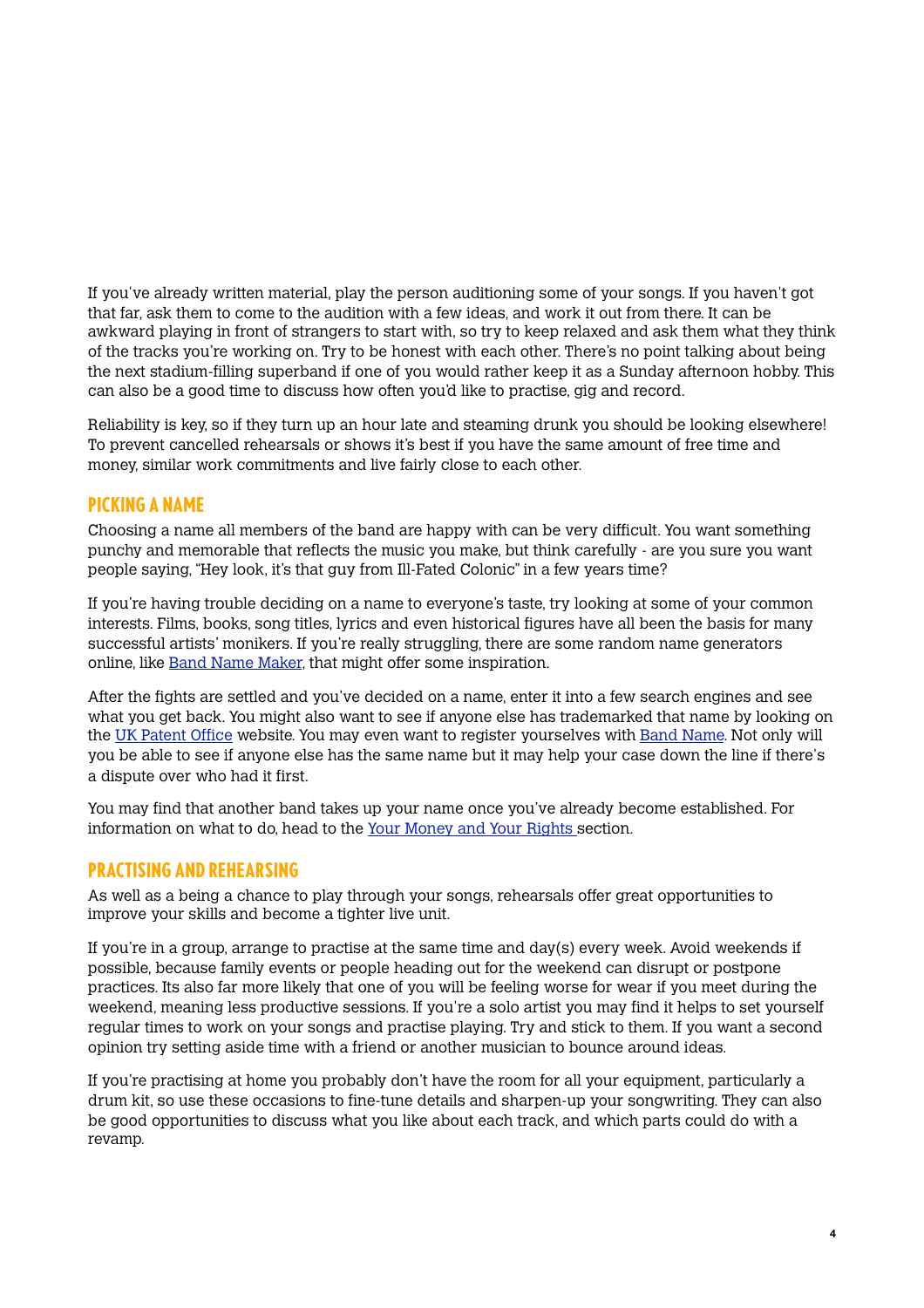the next stadium-filling superband if one of you would rather keep it as a Sunday afternoon hobby. This If you've already written material, play the person auditioning some of your songs. If you haven't got that far, ask them to come to the audition with a few ideas, and work it out from there. It can be awkward playing in front of strangers to start with, so try to keep relaxed and ask them what they think of the tracks you're working on. Try to be honest with each other. There's no point talking about being can also be a good time to discuss how often you'd like to practise, gig and record.

Reliability is key, so if they turn up an hour late and steaming drunk you should be looking elsewhere! To prevent cancelled rehearsals or shows it's best if you have the same amount of free time and money, similar work commitments and live fairly close to each other.

#### <span id="page-3-0"></span>**PICKING A NAME**

Choosing a name all members of the band are happy with can be very difficult. You want something punchy and memorable that reflects the music you make, but think carefully - are you sure you want people saying, "Hey look, it's that guy from Ill-Fated Colonic" in a few years time?

If you're having trouble deciding on a name to everyone's taste, try looking at some of your common interests. Films, books, song titles, lyrics and even historical figures have all been the basis for many successful artists' monikers. If you're really struggling, there are some random name generators online, like [Band Name Maker](http://www.bandnamemaker.com), that might offer some inspiration.

After the fights are settled and you've decided on a name, enter it into a few search engines and see what you get back. You might also want to see if anyone else has trademarked that name by looking on the [UK Patent Office](http://www.ipo.gov.uk) website. You may even want to register yourselves with [Band Name](http://bandname.com). Not only will you be able to see if anyone else has the same name but it may help your case down the line if there's a dispute over who had it first.

You may find that another band takes up your name once you've already become established. For information on what to do, head to the [Your Money and Your Rights s](http://www.bbc.co.uk/music/introducing/advice/yourmoneyandyourrights/gettinggoodadvice/)ection.

#### <span id="page-3-1"></span>**PRACTISING AND REHEARSING**

As well as a being a chance to play through your songs, rehearsals offer great opportunities to improve your skills and become a tighter live unit.

If you're in a group, arrange to practise at the same time and day(s) every week. Avoid weekends if possible, because family events or people heading out for the weekend can disrupt or postpone practices. Its also far more likely that one of you will be feeling worse for wear if you meet during the weekend, meaning less productive sessions. If you're a solo artist you may find it helps to set yourself regular times to work on your songs and practise playing. Try and stick to them. If you want a second opinion try setting aside time with a friend or another musician to bounce around ideas.

If you're practising at home you probably don't have the room for all your equipment, particularly a drum kit, so use these occasions to fine-tune details and sharpen-up your songwriting. They can also be good opportunities to discuss what you like about each track, and which parts could do with a revamp.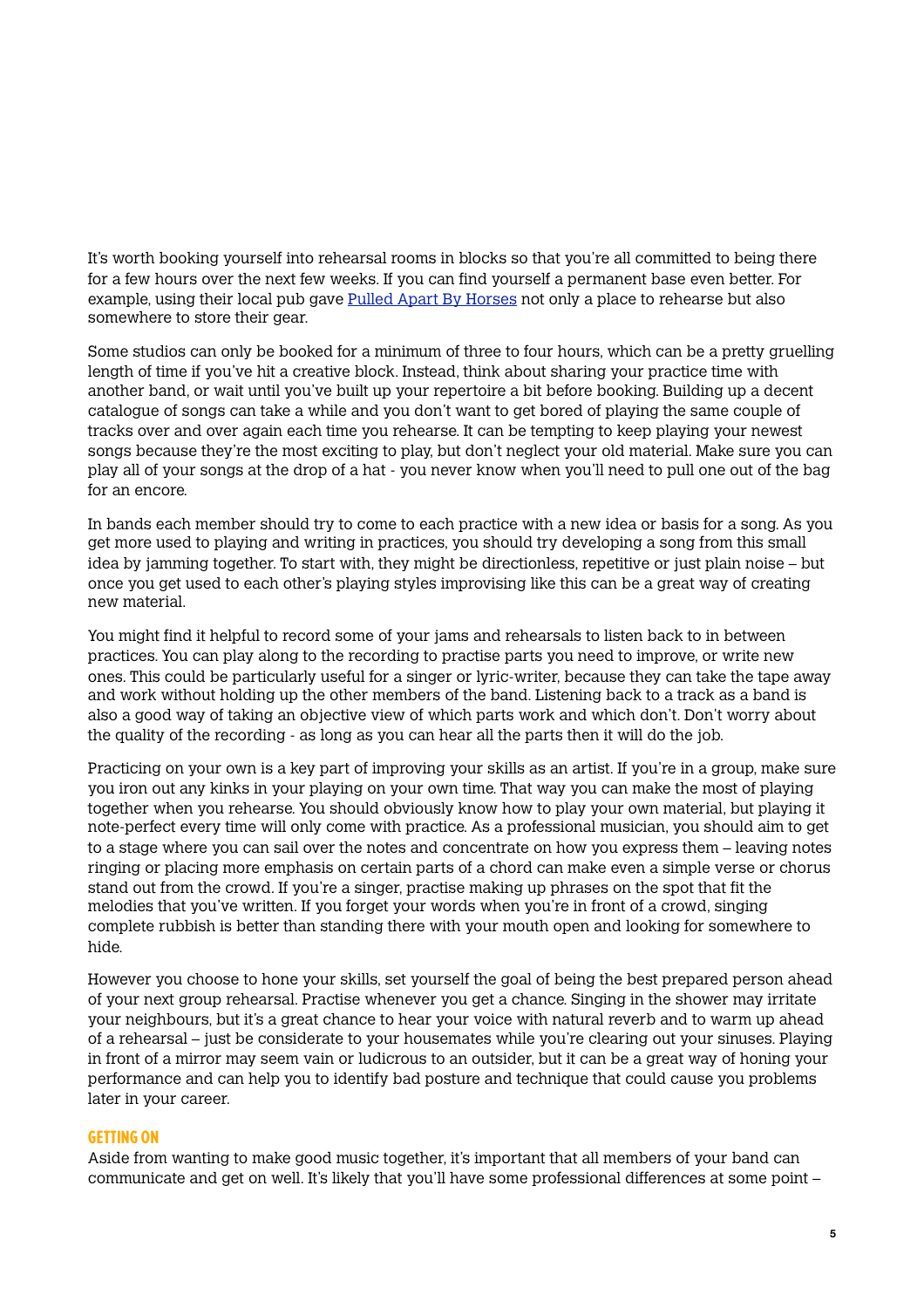It's worth booking yourself into rehearsal rooms in blocks so that you're all committed to being there for a few hours over the next few weeks. If you can find yourself a permanent base even better. For example, using their local pub gave [Pulled Apart By Horses](http://www.bbc.co.uk/music/introducing/artists/pulledapartbyhorses/) not only a place to rehearse but also somewhere to store their gear.

Some studios can only be booked for a minimum of three to four hours, which can be a pretty gruelling length of time if you've hit a creative block. Instead, think about sharing your practice time with another band, or wait until you've built up your repertoire a bit before booking. Building up a decent catalogue of songs can take a while and you don't want to get bored of playing the same couple of tracks over and over again each time you rehearse. It can be tempting to keep playing your newest songs because they're the most exciting to play, but don't neglect your old material. Make sure you can play all of your songs at the drop of a hat - you never know when you'll need to pull one out of the bag for an encore.

 In bands each member should try to come to each practice with a new idea or basis for a song. As you get more used to playing and writing in practices, you should try developing a song from this small idea by jamming together. To start with, they might be directionless, repetitive or just plain noise – but once you get used to each other's playing styles improvising like this can be a great way of creating new material.

You might find it helpful to record some of your jams and rehearsals to listen back to in between practices. You can play along to the recording to practise parts you need to improve, or write new ones. This could be particularly useful for a singer or lyric-writer, because they can take the tape away and work without holding up the other members of the band. Listening back to a track as a band is also a good way of taking an objective view of which parts work and which don't. Don't worry about the quality of the recording - as long as you can hear all the parts then it will do the job.

Practicing on your own is a key part of improving your skills as an artist. If you're in a group, make sure you iron out any kinks in your playing on your own time. That way you can make the most of playing together when you rehearse. You should obviously know how to play your own material, but playing it note-perfect every time will only come with practice. As a professional musician, you should aim to get to a stage where you can sail over the notes and concentrate on how you express them – leaving notes ringing or placing more emphasis on certain parts of a chord can make even a simple verse or chorus stand out from the crowd. If you're a singer, practise making up phrases on the spot that fit the melodies that you've written. If you forget your words when you're in front of a crowd, singing complete rubbish is better than standing there with your mouth open and looking for somewhere to hide.

However you choose to hone your skills, set yourself the goal of being the best prepared person ahead of your next group rehearsal. Practise whenever you get a chance. Singing in the shower may irritate your neighbours, but it's a great chance to hear your voice with natural reverb and to warm up ahead of a rehearsal – just be considerate to your housemates while you're clearing out your sinuses. Playing in front of a mirror may seem vain or ludicrous to an outsider, but it can be a great way of honing your performance and can help you to identify bad posture and technique that could cause you problems later in your career.

#### <span id="page-4-0"></span>**GETTING ON**

Aside from wanting to make good music together, it's important that all members of your band can communicate and get on well. It's likely that you'll have some professional differences at some point –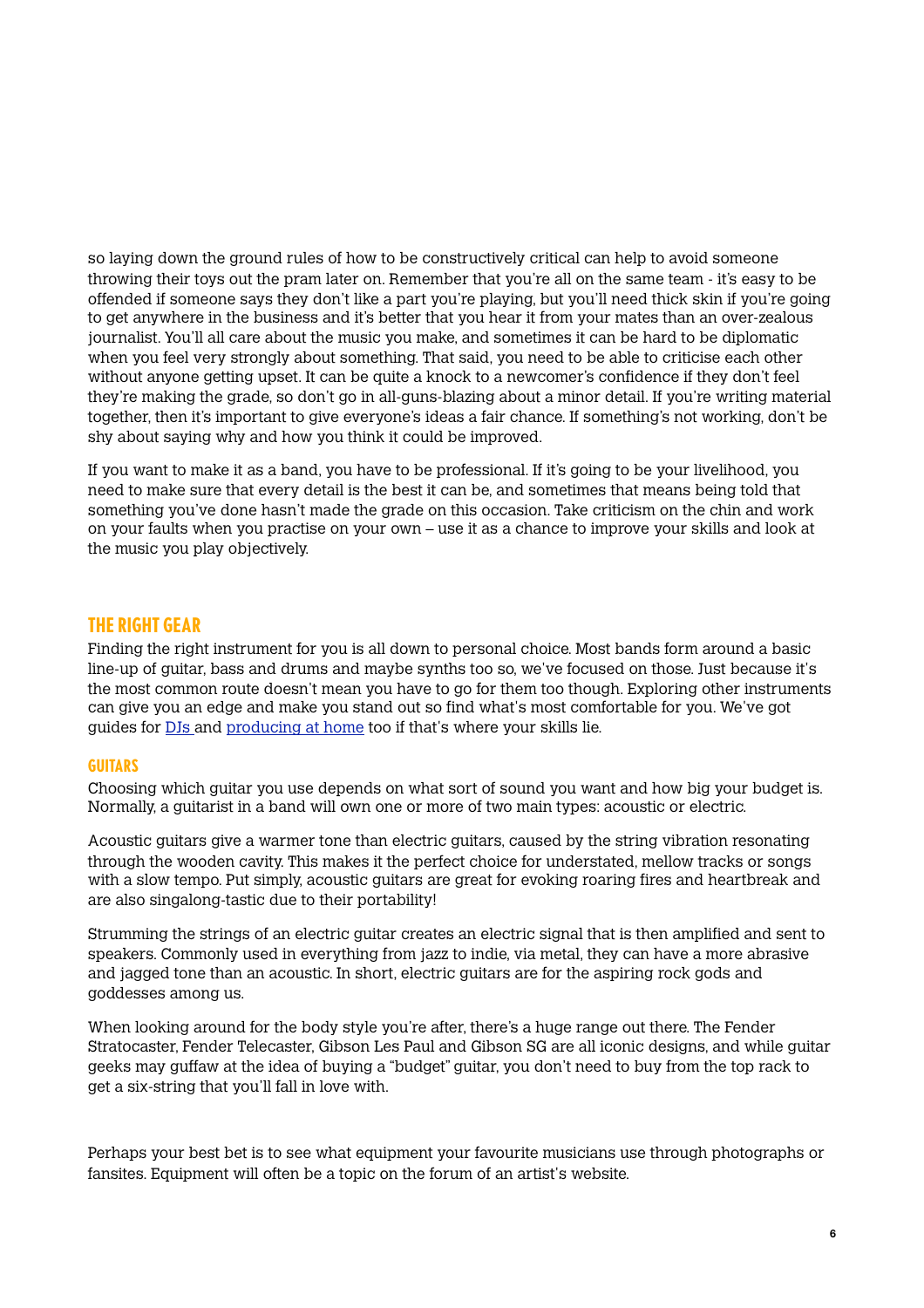so laying down the ground rules of how to be constructively critical can help to avoid someone throwing their toys out the pram later on. Remember that you're all on the same team - it's easy to be offended if someone says they don't like a part you're playing, but you'll need thick skin if you're going to get anywhere in the business and it's better that you hear it from your mates than an over-zealous journalist. You'll all care about the music you make, and sometimes it can be hard to be diplomatic when you feel very strongly about something. That said, you need to be able to criticise each other without anyone getting upset. It can be quite a knock to a newcomer's confidence if they don't feel they're making the grade, so don't go in all-guns-blazing about a minor detail. If you're writing material together, then it's important to give everyone's ideas a fair chance. If something's not working, don't be shy about saying why and how you think it could be improved.

If you want to make it as a band, you have to be professional. If it's going to be your livelihood, you need to make sure that every detail is the best it can be, and sometimes that means being told that something you've done hasn't made the grade on this occasion. Take criticism on the chin and work on your faults when you practise on your own – use it as a chance to improve your skills and look at the music you play objectively.

#### <span id="page-5-0"></span>**THE RIGHT GEAR**

Finding the right instrument for you is all down to personal choice. Most bands form around a basic line-up of guitar, bass and drums and maybe synths too so, we've focused on those. Just because it's the most common route doesn't mean you have to go for them too though. Exploring other instruments can give you an edge and make you stand out so find what's most comfortable for you. We've got guides for [DJs](http://www.bbc.co.uk/music/introducing/advice/startingout/djing/) and [producing at home](http://www.bbc.co.uk/music/introducing/advice/recording/aplacetorecord/homerecordingsoftware/) too if that's where your skills lie.

#### <span id="page-5-1"></span>**GUITARS**

Choosing which guitar you use depends on what sort of sound you want and how big your budget is. Normally, a guitarist in a band will own one or more of two main types: acoustic or electric.

Acoustic guitars give a warmer tone than electric guitars, caused by the string vibration resonating through the wooden cavity. This makes it the perfect choice for understated, mellow tracks or songs with a slow tempo. Put simply, acoustic guitars are great for evoking roaring fires and heartbreak and are also singalong-tastic due to their portability!

Strumming the strings of an electric guitar creates an electric signal that is then amplified and sent to speakers. Commonly used in everything from jazz to indie, via metal, they can have a more abrasive and jagged tone than an acoustic. In short, electric guitars are for the aspiring rock gods and goddesses among us.

When looking around for the body style you're after, there's a huge range out there. The Fender Stratocaster, Fender Telecaster, Gibson Les Paul and Gibson SG are all iconic designs, and while guitar geeks may guffaw at the idea of buying a "budget" guitar, you don't need to buy from the top rack to get a six-string that you'll fall in love with.

Perhaps your best bet is to see what equipment your favourite musicians use through photographs or fansites. Equipment will often be a topic on the forum of an artist's website.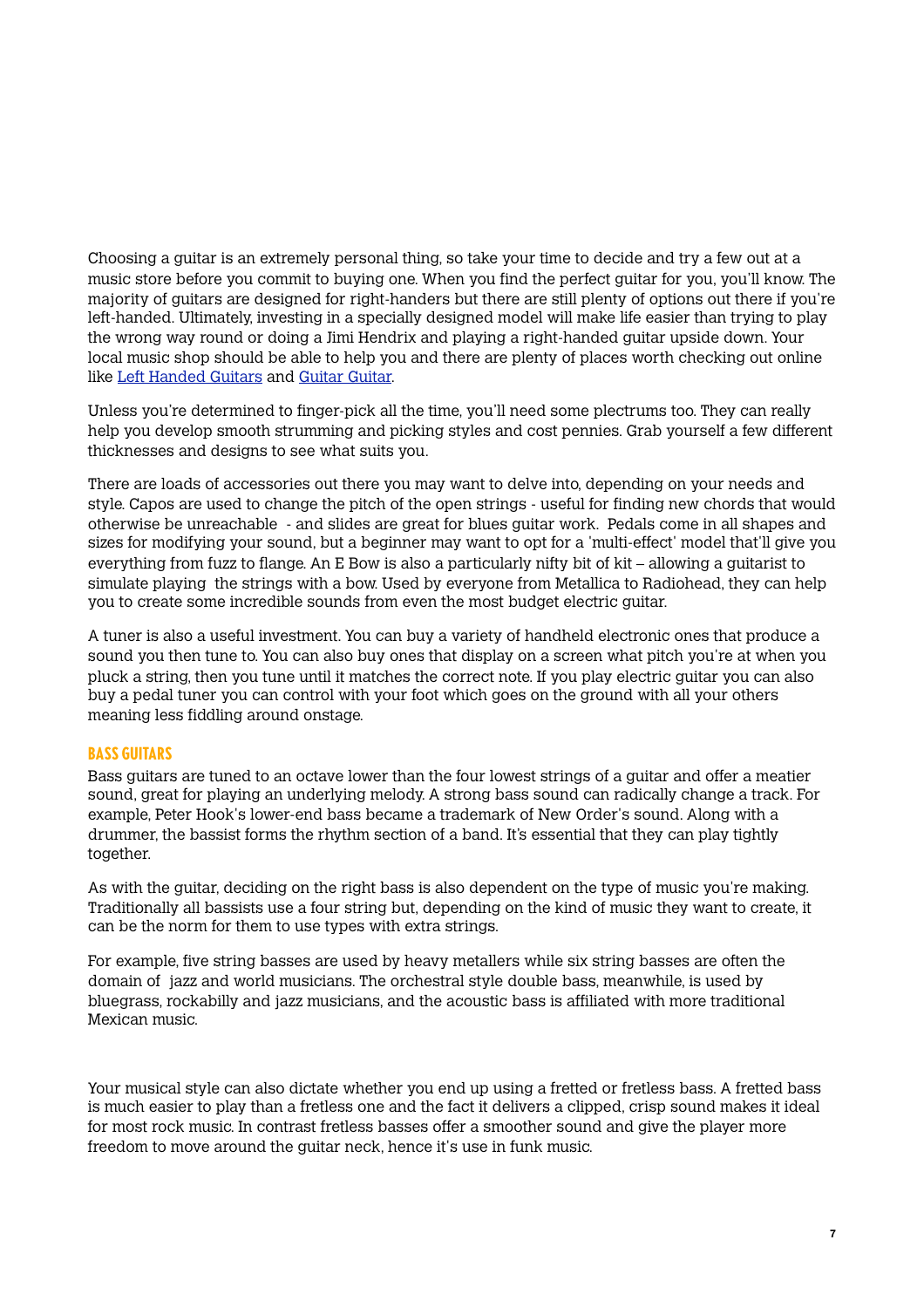music store before you commit to buying one. When you find the perfect guitar for you, you'll know. The Choosing a guitar is an extremely personal thing, so take your time to decide and try a few out at a majority of guitars are designed for right-handers but there are still plenty of options out there if you're left-handed. Ultimately, investing in a specially designed model will make life easier than trying to play the wrong way round or doing a Jimi Hendrix and playing a right-handed guitar upside down. Your local music shop should be able to help you and there are plenty of places worth checking out online like [Left Handed Guitars](http://www.lefthandedguitars.co.uk/) and [Guitar Guitar.](http://www.guitarguitar.co.uk/left_guitars.asp)

Unless you're determined to finger-pick all the time, you'll need some plectrums too. They can really help you develop smooth strumming and picking styles and cost pennies. Grab yourself a few different thicknesses and designs to see what suits you.

There are loads of accessories out there you may want to delve into, depending on your needs and style. Capos are used to change the pitch of the open strings - useful for finding new chords that would otherwise be unreachable - and slides are great for blues guitar work. Pedals come in all shapes and sizes for modifying your sound, but a beginner may want to opt for a 'multi-effect' model that'll give you everything from fuzz to flange. An E Bow is also a particularly nifty bit of kit – allowing a guitarist to simulate playing the strings with a bow. Used by everyone from Metallica to Radiohead, they can help you to create some incredible sounds from even the most budget electric guitar.

A tuner is also a useful investment. You can buy a variety of handheld electronic ones that produce a sound you then tune to. You can also buy ones that display on a screen what pitch you're at when you pluck a string, then you tune until it matches the correct note. If you play electric guitar you can also buy a pedal tuner you can control with your foot which goes on the ground with all your others meaning less fiddling around onstage.

#### <span id="page-6-0"></span>**BASS GUITARS**

Bass guitars are tuned to an octave lower than the four lowest strings of a guitar and offer a meatier sound, great for playing an underlying melody. A strong bass sound can radically change a track. For example, Peter Hook's lower-end bass became a trademark of New Order's sound. Along with a drummer, the bassist forms the rhythm section of a band. It's essential that they can play tightly together.

As with the guitar, deciding on the right bass is also dependent on the type of music you're making. Traditionally all bassists use a four string but, depending on the kind of music they want to create, it can be the norm for them to use types with extra strings.

For example, five string basses are used by heavy metallers while six string basses are often the domain of jazz and world musicians. The orchestral style double bass, meanwhile, is used by bluegrass, rockabilly and jazz musicians, and the acoustic bass is affiliated with more traditional Mexican music.

Your musical style can also dictate whether you end up using a fretted or fretless bass. A fretted bass is much easier to play than a fretless one and the fact it delivers a clipped, crisp sound makes it ideal for most rock music. In contrast fretless basses offer a smoother sound and give the player more freedom to move around the guitar neck, hence it's use in funk music.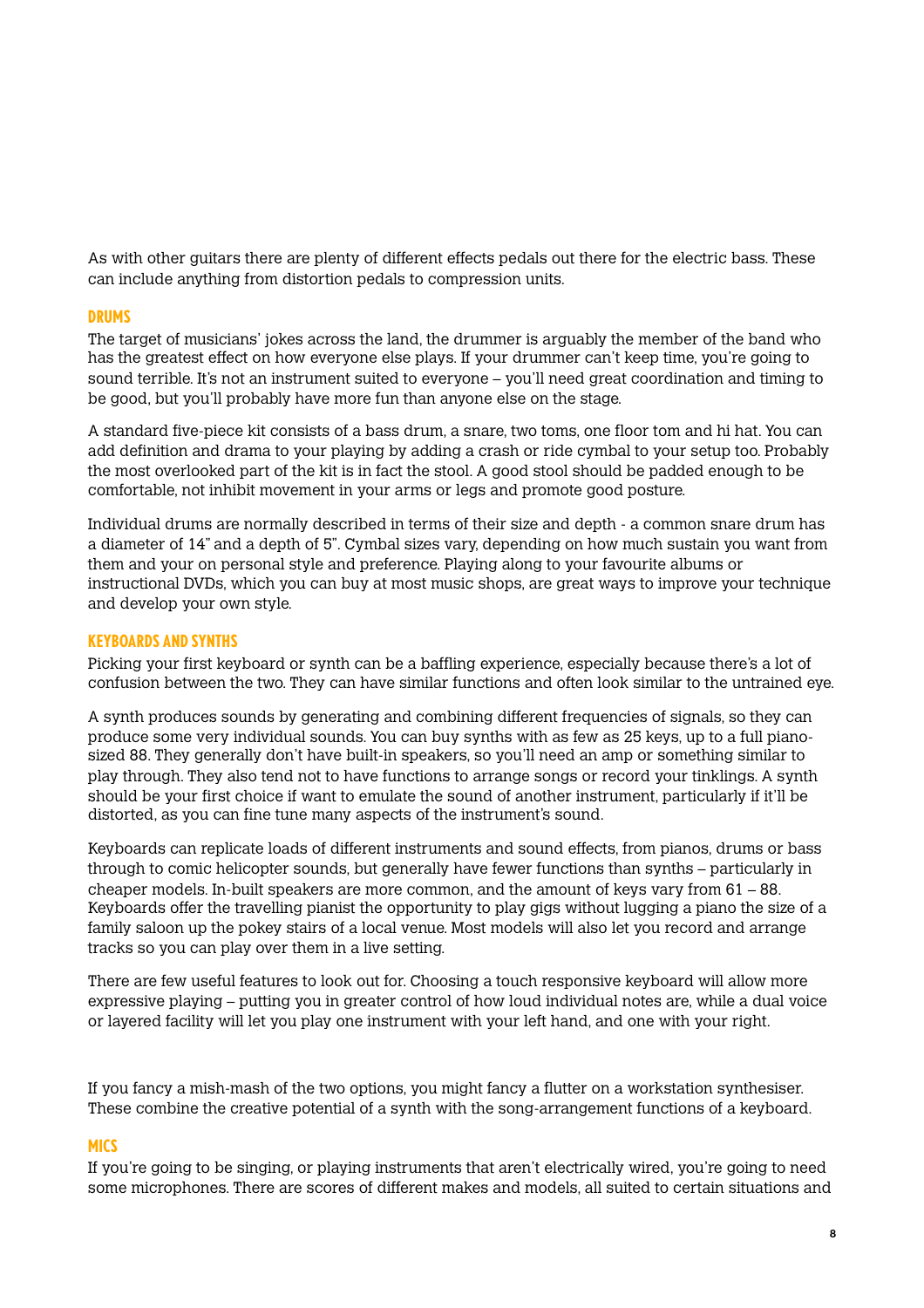As with other guitars there are plenty of different effects pedals out there for the electric bass. These can include anything from distortion pedals to compression units.

#### <span id="page-7-0"></span>**DRUMS**

The target of musicians' jokes across the land, the drummer is arguably the member of the band who has the greatest effect on how everyone else plays. If your drummer can't keep time, you're going to sound terrible. It's not an instrument suited to everyone – you'll need great coordination and timing to be good, but you'll probably have more fun than anyone else on the stage.

A standard five-piece kit consists of a bass drum, a snare, two toms, one floor tom and hi hat. You can add definition and drama to your playing by adding a crash or ride cymbal to your setup too. Probably the most overlooked part of the kit is in fact the stool. A good stool should be padded enough to be comfortable, not inhibit movement in your arms or legs and promote good posture.

Individual drums are normally described in terms of their size and depth - a common snare drum has a diameter of 14" and a depth of 5". Cymbal sizes vary, depending on how much sustain you want from them and your on personal style and preference. Playing along to your favourite albums or instructional DVDs, which you can buy at most music shops, are great ways to improve your technique and develop your own style.

#### <span id="page-7-1"></span>**KEYBOARDS AND SYNTHS**

Picking your first keyboard or synth can be a baffling experience, especially because there's a lot of confusion between the two. They can have similar functions and often look similar to the untrained eye.

A synth produces sounds by generating and combining different frequencies of signals, so they can produce some very individual sounds. You can buy synths with as few as 25 keys, up to a full pianosized 88. They generally don't have built-in speakers, so you'll need an amp or something similar to play through. They also tend not to have functions to arrange songs or record your tinklings. A synth should be your first choice if want to emulate the sound of another instrument, particularly if it'll be distorted, as you can fine tune many aspects of the instrument's sound.

Keyboards can replicate loads of different instruments and sound effects, from pianos, drums or bass through to comic helicopter sounds, but generally have fewer functions than synths – particularly in cheaper models. In-built speakers are more common, and the amount of keys vary from 61 – 88. Keyboards offer the travelling pianist the opportunity to play gigs without lugging a piano the size of a family saloon up the pokey stairs of a local venue. Most models will also let you record and arrange tracks so you can play over them in a live setting.

There are few useful features to look out for. Choosing a touch responsive keyboard will allow more expressive playing – putting you in greater control of how loud individual notes are, while a dual voice or layered facility will let you play one instrument with your left hand, and one with your right.

If you fancy a mish-mash of the two options, you might fancy a flutter on a workstation synthesiser. These combine the creative potential of a synth with the song-arrangement functions of a keyboard.

#### <span id="page-7-2"></span>**MICS**

If you're going to be singing, or playing instruments that aren't electrically wired, you're going to need some microphones. There are scores of different makes and models, all suited to certain situations and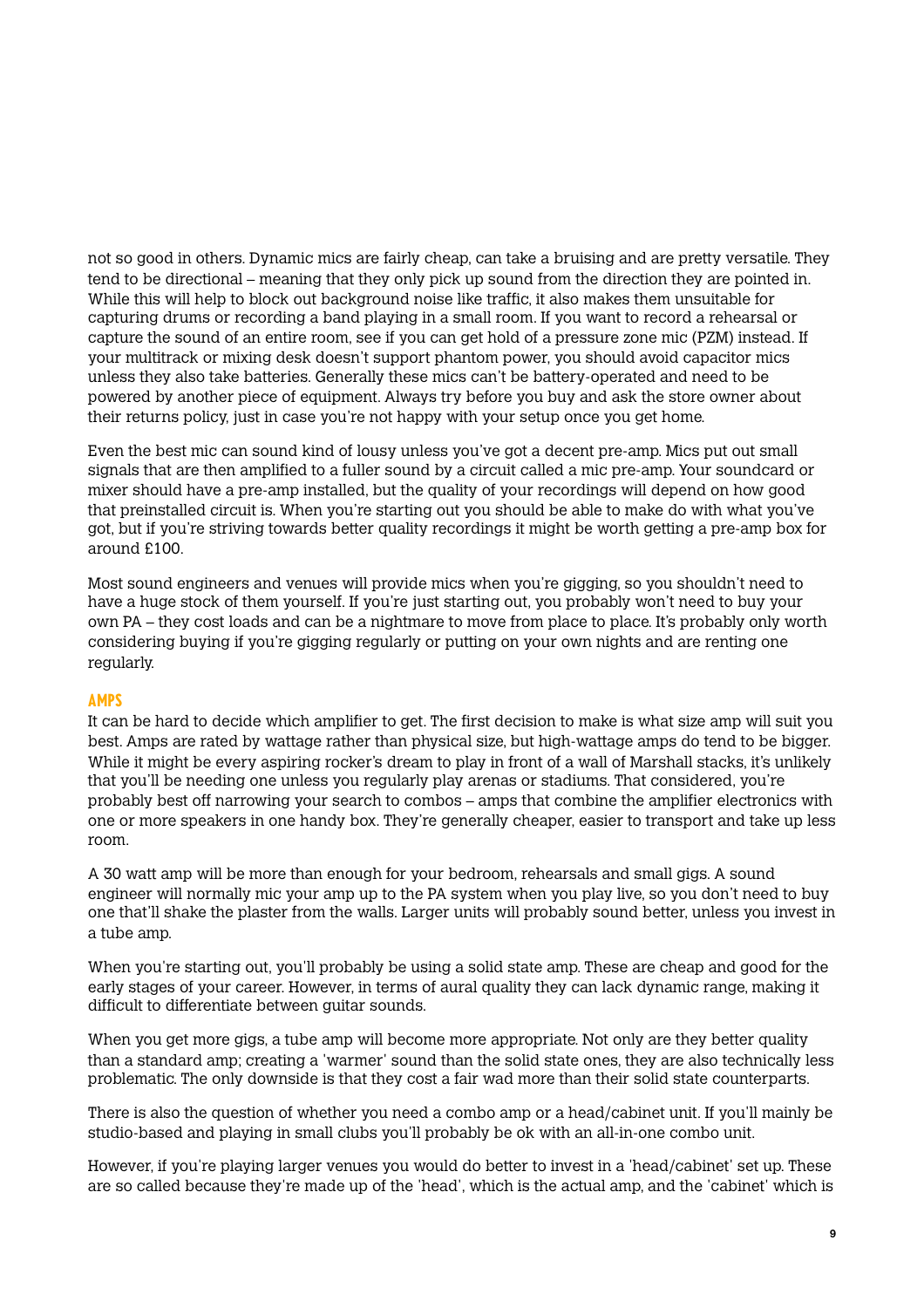not so good in others. Dynamic mics are fairly cheap, can take a bruising and are pretty versatile. They tend to be directional – meaning that they only pick up sound from the direction they are pointed in. While this will help to block out background noise like traffic, it also makes them unsuitable for capturing drums or recording a band playing in a small room. If you want to record a rehearsal or capture the sound of an entire room, see if you can get hold of a pressure zone mic (PZM) instead. If your multitrack or mixing desk doesn't support phantom power, you should avoid capacitor mics unless they also take batteries. Generally these mics can't be battery-operated and need to be powered by another piece of equipment. Always try before you buy and ask the store owner about their returns policy, just in case you're not happy with your setup once you get home.

Even the best mic can sound kind of lousy unless you've got a decent pre-amp. Mics put out small signals that are then amplified to a fuller sound by a circuit called a mic pre-amp. Your soundcard or mixer should have a pre-amp installed, but the quality of your recordings will depend on how good that preinstalled circuit is. When you're starting out you should be able to make do with what you've got, but if you're striving towards better quality recordings it might be worth getting a pre-amp box for around £100.

Most sound engineers and venues will provide mics when you're gigging, so you shouldn't need to have a huge stock of them yourself. If you're just starting out, you probably won't need to buy your own PA – they cost loads and can be a nightmare to move from place to place. It's probably only worth considering buying if you're gigging regularly or putting on your own nights and are renting one regularly.

#### <span id="page-8-0"></span>**AMPS**

It can be hard to decide which amplifier to get. The first decision to make is what size amp will suit you best. Amps are rated by wattage rather than physical size, but high-wattage amps do tend to be bigger. While it might be every aspiring rocker's dream to play in front of a wall of Marshall stacks, it's unlikely that you'll be needing one unless you regularly play arenas or stadiums. That considered, you're probably best off narrowing your search to combos – amps that combine the amplifier electronics with one or more speakers in one handy box. They're generally cheaper, easier to transport and take up less room.

A 30 watt amp will be more than enough for your bedroom, rehearsals and small gigs. A sound engineer will normally mic your amp up to the PA system when you play live, so you don't need to buy one that'll shake the plaster from the walls. Larger units will probably sound better, unless you invest in a tube amp.

When you're starting out, you'll probably be using a solid state amp. These are cheap and good for the early stages of your career. However, in terms of aural quality they can lack dynamic range, making it difficult to differentiate between guitar sounds.

When you get more gigs, a tube amp will become more appropriate. Not only are they better quality than a standard amp; creating a 'warmer' sound than the solid state ones, they are also technically less problematic. The only downside is that they cost a fair wad more than their solid state counterparts.

There is also the question of whether you need a combo amp or a head/cabinet unit. If you'll mainly be studio-based and playing in small clubs you'll probably be ok with an all-in-one combo unit.

However, if you're playing larger venues you would do better to invest in a 'head/cabinet' set up. These are so called because they're made up of the 'head', which is the actual amp, and the 'cabinet' which is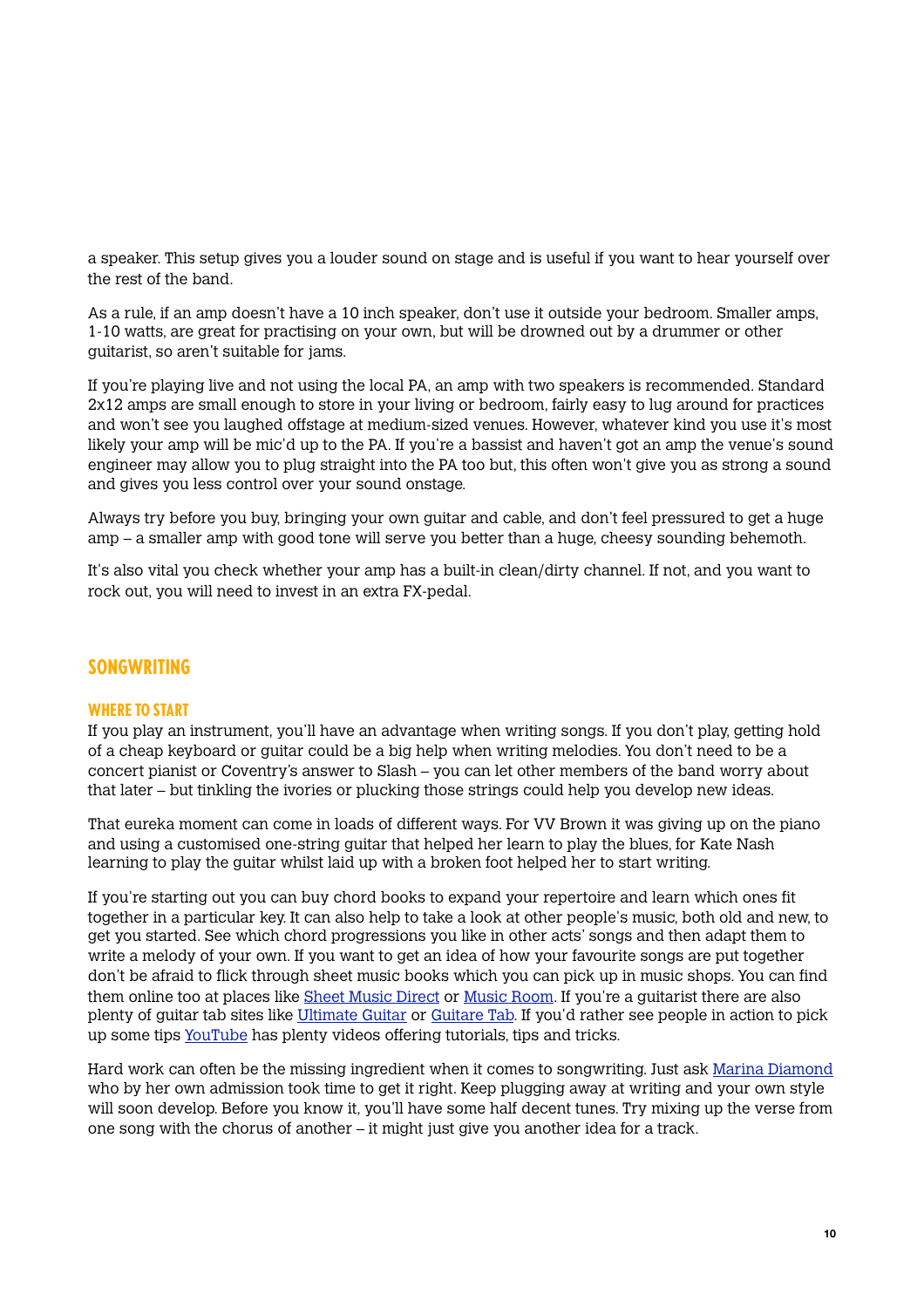a speaker. This setup gives you a louder sound on stage and is useful if you want to hear yourself over the rest of the band.

As a rule, if an amp doesn't have a 10 inch speaker, don't use it outside your bedroom. Smaller amps, 1-10 watts, are great for practising on your own, but will be drowned out by a drummer or other guitarist, so aren't suitable for jams.

If you're playing live and not using the local PA, an amp with two speakers is recommended. Standard 2x12 amps are small enough to store in your living or bedroom, fairly easy to lug around for practices and won't see you laughed offstage at medium-sized venues. However, whatever kind you use it's most likely your amp will be mic'd up to the PA. If you're a bassist and haven't got an amp the venue's sound engineer may allow you to plug straight into the PA too but, this often won't give you as strong a sound and gives you less control over your sound onstage.

Always try before you buy, bringing your own guitar and cable, and don't feel pressured to get a huge amp – a smaller amp with good tone will serve you better than a huge, cheesy sounding behemoth.

It's also vital you check whether your amp has a built-in clean/dirty channel. If not, and you want to rock out, you will need to invest in an extra FX-pedal.

### <span id="page-9-0"></span>**SONGWRITING**

#### <span id="page-9-1"></span>**WHERE TO START**

If you play an instrument, you'll have an advantage when writing songs. If you don't play, getting hold of a cheap keyboard or guitar could be a big help when writing melodies. You don't need to be a concert pianist or Coventry's answer to Slash – you can let other members of the band worry about that later – but tinkling the ivories or plucking those strings could help you develop new ideas.

learning to play the guitar whilst laid up with a broken foot helped her to start writing. That eureka moment can come in loads of different ways. For VV Brown it was giving up on the piano and using a customised one-string guitar that helped her learn to play the blues, for Kate Nash

up some tips <u>YouTube</u> has plenty videos offering tutorials, tips and tricks. If you're starting out you can buy chord books to expand your repertoire and learn which ones fit together in a particular key. It can also help to take a look at other people's music, both old and new, to get you started. See which chord progressions you like in other acts' songs and then adapt them to write a melody of your own. If you want to get an idea of how your favourite songs are put together don't be afraid to flick through sheet music books which you can pick up in music shops. You can find them online too at places like [Sheet Music Direct](http://www.sheetmusicdirect.com) or [Music Room](http://www.musicroom.com). If you're a guitarist there are also plenty of guitar tab sites like [Ultimate Guitar](http://www.ultimate-guitar.com) or [Guitare Tab.](http://www.guitaretab.com) If you'd rather see people in action to pick

Hard work can often be the missing ingredient when it comes to songwriting. Just ask [Marina Diamond](http://www.bbc.co.uk/music/introducing/artists/marinaandthediamonds/)  who by her own admission took time to get it right. Keep plugging away at writing and your own style will soon develop. Before you know it, you'll have some half decent tunes. Try mixing up the verse from one song with the chorus of another – it might just give you another idea for a track.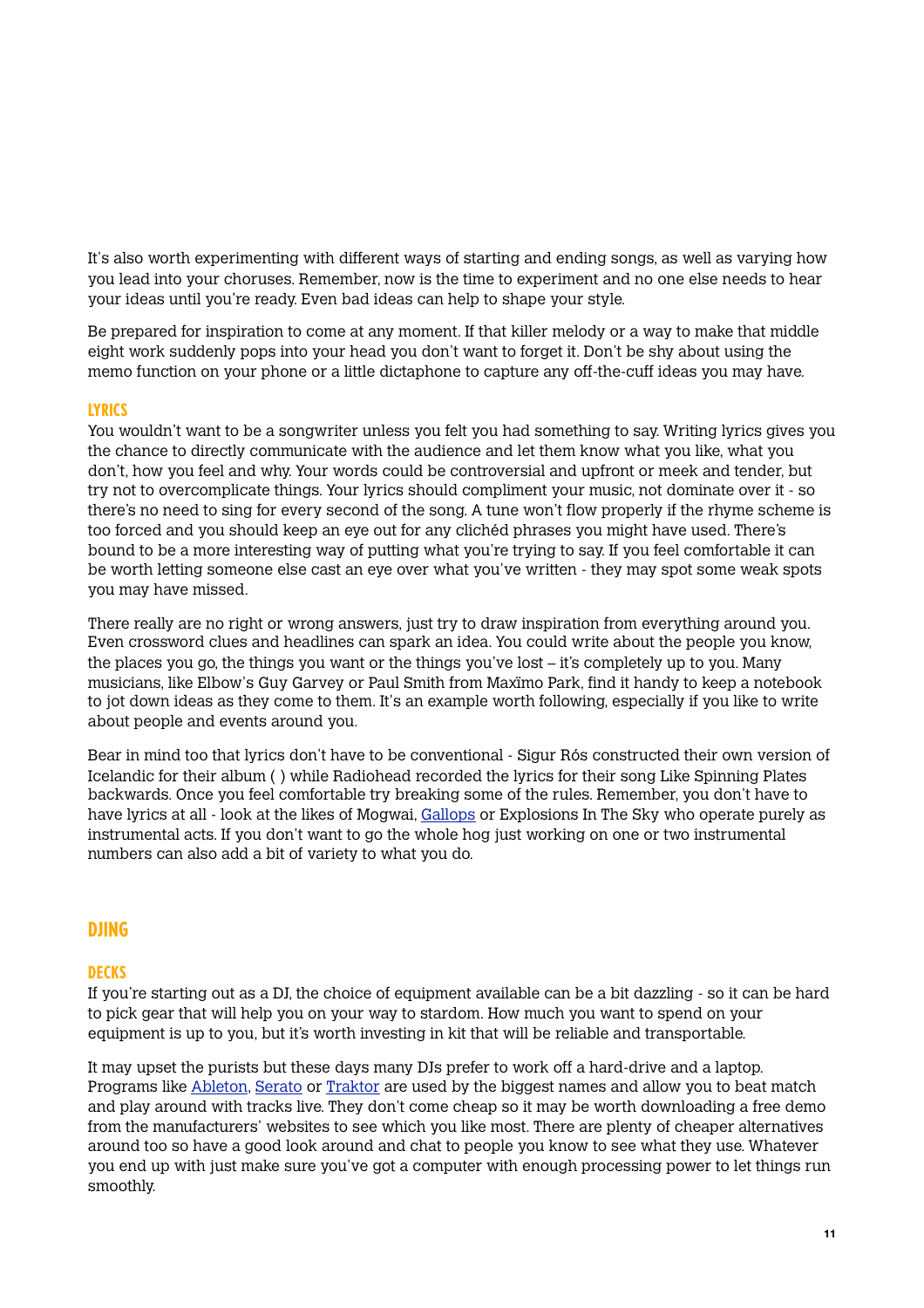It's also worth experimenting with different ways of starting and ending songs, as well as varying how you lead into your choruses. Remember, now is the time to experiment and no one else needs to hear your ideas until you're ready. Even bad ideas can help to shape your style.

Be prepared for inspiration to come at any moment. If that killer melody or a way to make that middle eight work suddenly pops into your head you don't want to forget it. Don't be shy about using the memo function on your phone or a little dictaphone to capture any off-the-cuff ideas you may have.

#### <span id="page-10-0"></span>**LYRICS**

You wouldn't want to be a songwriter unless you felt you had something to say. Writing lyrics gives you the chance to directly communicate with the audience and let them know what you like, what you don't, how you feel and why. Your words could be controversial and upfront or meek and tender, but try not to overcomplicate things. Your lyrics should compliment your music, not dominate over it - so there's no need to sing for every second of the song. A tune won't flow properly if the rhyme scheme is too forced and you should keep an eye out for any clichéd phrases you might have used. There's bound to be a more interesting way of putting what you're trying to say. If you feel comfortable it can be worth letting someone else cast an eye over what you've written - they may spot some weak spots you may have missed.

There really are no right or wrong answers, just try to draw inspiration from everything around you. Even crossword clues and headlines can spark an idea. You could write about the people you know, the places you go, the things you want or the things you've lost – it's completely up to you. Many musicians, like Elbow's Guy Garvey or Paul Smith from Maxïmo Park, find it handy to keep a notebook to jot down ideas as they come to them. It's an example worth following, especially if you like to write about people and events around you.

Bear in mind too that lyrics don't have to be conventional - Sigur Rós constructed their own version of Icelandic for their album ( ) while Radiohead recorded the lyrics for their song Like Spinning Plates backwards. Once you feel comfortable try breaking some of the rules. Remember, you don't have to have lyrics at all - look at the likes of Mogwai, [Gallops](http://www.bbc.co.uk/music/introducing/artists/gallops/) or Explosions In The Sky who operate purely as instrumental acts. If you don't want to go the whole hog just working on one or two instrumental numbers can also add a bit of variety to what you do.

#### <span id="page-10-1"></span>**DJING**

#### <span id="page-10-2"></span>**DECKS**

If you're starting out as a DJ, the choice of equipment available can be a bit dazzling - so it can be hard to pick gear that will help you on your way to stardom. How much you want to spend on your equipment is up to you, but it's worth investing in kit that will be reliable and transportable.

It may upset the purists but these days many DJs prefer to work off a hard-drive and a laptop. Programs like [Ableton,](http://www.ableton.com) [Serato](http://www.serato.com) or [Traktor](http://www.native-instruments.com/newreleases/%23/en/products/dj/traktor-pro) are used by the biggest names and allow you to beat match and play around with tracks live. They don't come cheap so it may be worth downloading a free demo from the manufacturers' websites to see which you like most. There are plenty of cheaper alternatives around too so have a good look around and chat to people you know to see what they use. Whatever you end up with just make sure you've got a computer with enough processing power to let things run smoothly.